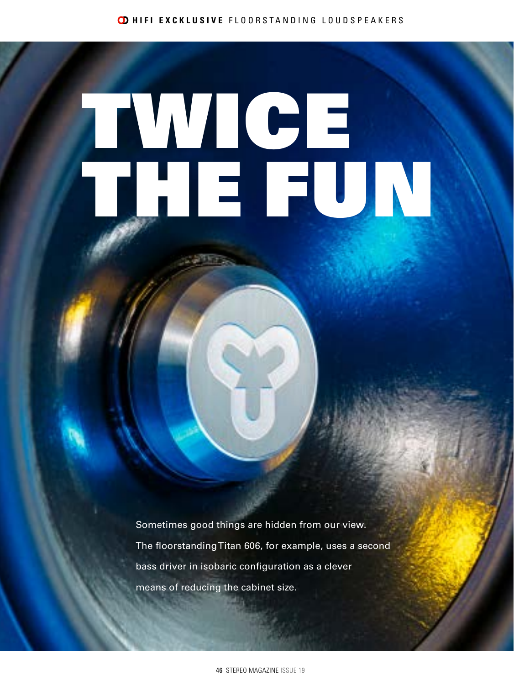# TWICE, THE FUN

Sometimes good things are hidden from our view. The floorstanding Titan 606, for example, uses a second bass driver in isobaric configuration as a clever means of reducing the cabinet size.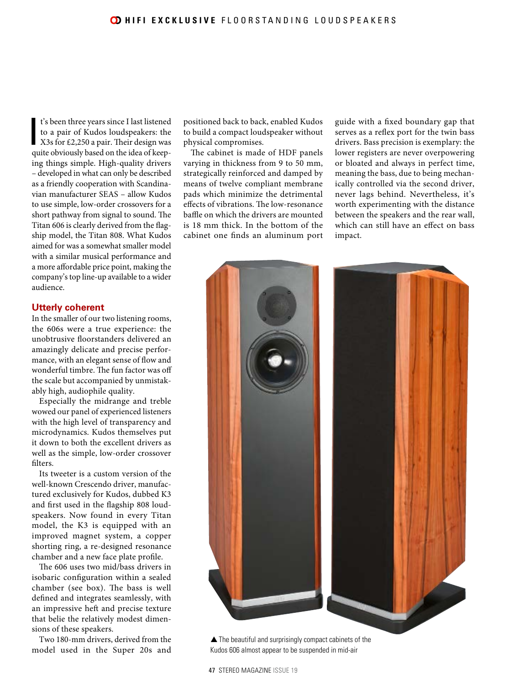t's been three years since I last listened to a pair of Kudos loudspeakers: the X3s for £2,250 a pair. Their design was quite obviously based on the idea of keept's been three years since I last listened to a pair of Kudos loudspeakers: the X3s for £2,250 a pair. Their design was ing things simple. High-quality drivers – developed in what can only be described as a friendly cooperation with Scandinavian manufacturer SEAS – allow Kudos to use simple, low-order crossovers for a short pathway from signal to sound. The Titan 606 is clearly derived from the flagship model, the Titan 808. What Kudos aimed for was a somewhat smaller model with a similar musical performance and a more affordable price point, making the company's top line-up available to a wider audience.

### **Utterly coherent**

In the smaller of our two listening rooms, the 606s were a true experience: the unobtrusive floorstanders delivered an amazingly delicate and precise performance, with an elegant sense of flow and wonderful timbre. The fun factor was off the scale but accompanied by unmistakably high, audiophile quality.

Especially the midrange and treble wowed our panel of experienced listeners with the high level of transparency and microdynamics. Kudos themselves put it down to both the excellent drivers as well as the simple, low-order crossover filters.

Its tweeter is a custom version of the well-known Crescendo driver, manufactured exclusively for Kudos, dubbed K3 and first used in the flagship 808 loudspeakers. Now found in every Titan model, the K3 is equipped with an improved magnet system, a copper shorting ring, a re-designed resonance chamber and a new face plate profile.

The 606 uses two mid/bass drivers in isobaric configuration within a sealed chamber (see box). The bass is well defined and integrates seamlessly, with an impressive heft and precise texture that belie the relatively modest dimensions of these speakers.

Two 180-mm drivers, derived from the model used in the Super 20s and positioned back to back, enabled Kudos to build a compact loudspeaker without physical compromises.

The cabinet is made of HDF panels varying in thickness from 9 to 50 mm, strategically reinforced and damped by means of twelve compliant membrane pads which minimize the detrimental effects of vibrations. The low-resonance baffle on which the drivers are mounted is 18 mm thick. In the bottom of the cabinet one finds an aluminum port

guide with a fixed boundary gap that serves as a reflex port for the twin bass drivers. Bass precision is exemplary: the lower registers are never overpowering or bloated and always in perfect time, meaning the bass, due to being mechanically controlled via the second driver, never lags behind. Nevertheless, it's worth experimenting with the distance between the speakers and the rear wall, which can still have an effect on bass impact.



47 STEREO MAGAZINE ISSUE 19